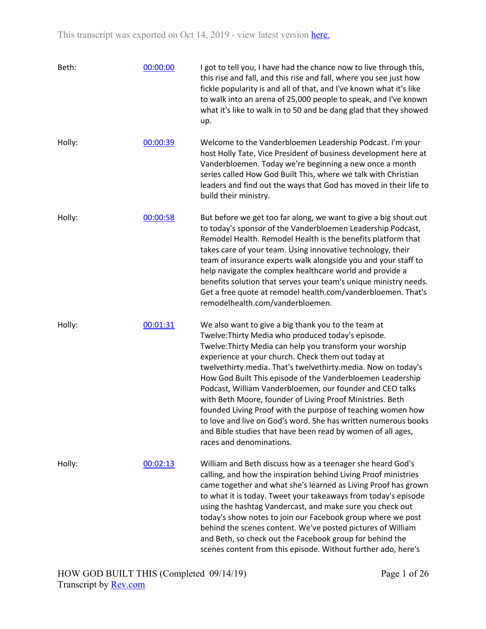| Beth:  | 00:00:00 | I got to tell you, I have had the chance now to live through this,<br>this rise and fall, and this rise and fall, where you see just how<br>fickle popularity is and all of that, and I've known what it's like<br>to walk into an arena of 25,000 people to speak, and I've known<br>what it's like to walk in to 50 and be dang glad that they showed<br>up.                                                                                                                                                                                                                                                                                                                                                   |
|--------|----------|------------------------------------------------------------------------------------------------------------------------------------------------------------------------------------------------------------------------------------------------------------------------------------------------------------------------------------------------------------------------------------------------------------------------------------------------------------------------------------------------------------------------------------------------------------------------------------------------------------------------------------------------------------------------------------------------------------------|
| Holly: | 00:00:39 | Welcome to the Vanderbloemen Leadership Podcast. I'm your<br>host Holly Tate, Vice President of business development here at<br>Vanderbloemen. Today we're beginning a new once a month<br>series called How God Built This, where we talk with Christian<br>leaders and find out the ways that God has moved in their life to<br>build their ministry.                                                                                                                                                                                                                                                                                                                                                          |
| Holly: | 00:00:58 | But before we get too far along, we want to give a big shout out<br>to today's sponsor of the Vanderbloemen Leadership Podcast,<br>Remodel Health. Remodel Health is the benefits platform that<br>takes care of your team. Using innovative technology, their<br>team of insurance experts walk alongside you and your staff to<br>help navigate the complex healthcare world and provide a<br>benefits solution that serves your team's unique ministry needs.<br>Get a free quote at remodel health.com/vanderbloemen. That's<br>remodelhealth.com/vanderbloemen.                                                                                                                                             |
| Holly: | 00:01:31 | We also want to give a big thank you to the team at<br>Twelve: Thirty Media who produced today's episode.<br>Twelve: Thirty Media can help you transform your worship<br>experience at your church. Check them out today at<br>twelvethirty.media. That's twelvethirty.media. Now on today's<br>How God Built This episode of the Vanderbloemen Leadership<br>Podcast, William Vanderbloemen, our founder and CEO talks<br>with Beth Moore, founder of Living Proof Ministries. Beth<br>founded Living Proof with the purpose of teaching women how<br>to love and live on God's word. She has written numerous books<br>and Bible studies that have been read by women of all ages,<br>races and denominations. |
| Holly: | 00:02:13 | William and Beth discuss how as a teenager she heard God's<br>calling, and how the inspiration behind Living Proof ministries<br>came together and what she's learned as Living Proof has grown<br>to what it is today. Tweet your takeaways from today's episode<br>using the hashtag Vandercast, and make sure you check out<br>today's show notes to join our Facebook group where we post<br>behind the scenes content. We've posted pictures of William<br>and Beth, so check out the Facebook group for behind the<br>scenes content from this episode. Without further ado, here's                                                                                                                        |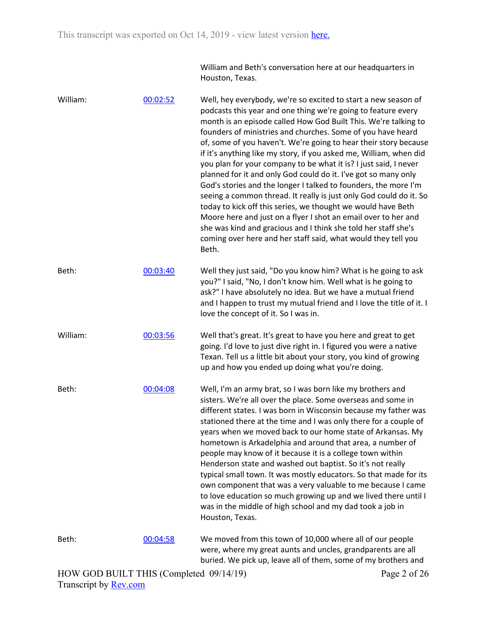William and Beth's conversation here at our headquarters in Houston, Texas.

| William: | 00:02:52 | Well, hey everybody, we're so excited to start a new season of<br>podcasts this year and one thing we're going to feature every<br>month is an episode called How God Built This. We're talking to<br>founders of ministries and churches. Some of you have heard<br>of, some of you haven't. We're going to hear their story because<br>if it's anything like my story, if you asked me, William, when did<br>you plan for your company to be what it is? I just said, I never<br>planned for it and only God could do it. I've got so many only<br>God's stories and the longer I talked to founders, the more I'm<br>seeing a common thread. It really is just only God could do it. So<br>today to kick off this series, we thought we would have Beth<br>Moore here and just on a flyer I shot an email over to her and<br>she was kind and gracious and I think she told her staff she's<br>coming over here and her staff said, what would they tell you<br>Beth. |
|----------|----------|--------------------------------------------------------------------------------------------------------------------------------------------------------------------------------------------------------------------------------------------------------------------------------------------------------------------------------------------------------------------------------------------------------------------------------------------------------------------------------------------------------------------------------------------------------------------------------------------------------------------------------------------------------------------------------------------------------------------------------------------------------------------------------------------------------------------------------------------------------------------------------------------------------------------------------------------------------------------------|
| Beth:    | 00:03:40 | Well they just said, "Do you know him? What is he going to ask<br>you?" I said, "No, I don't know him. Well what is he going to<br>ask?" I have absolutely no idea. But we have a mutual friend<br>and I happen to trust my mutual friend and I love the title of it. I<br>love the concept of it. So I was in.                                                                                                                                                                                                                                                                                                                                                                                                                                                                                                                                                                                                                                                          |
| William: | 00:03:56 | Well that's great. It's great to have you here and great to get<br>going. I'd love to just dive right in. I figured you were a native<br>Texan. Tell us a little bit about your story, you kind of growing<br>up and how you ended up doing what you're doing.                                                                                                                                                                                                                                                                                                                                                                                                                                                                                                                                                                                                                                                                                                           |
| Beth:    | 00:04:08 | Well, I'm an army brat, so I was born like my brothers and<br>sisters. We're all over the place. Some overseas and some in<br>different states. I was born in Wisconsin because my father was<br>stationed there at the time and I was only there for a couple of<br>years when we moved back to our home state of Arkansas. My<br>hometown is Arkadelphia and around that area, a number of<br>people may know of it because it is a college town within<br>Henderson state and washed out baptist. So it's not really<br>typical small town. It was mostly educators. So that made for its<br>own component that was a very valuable to me because I came<br>to love education so much growing up and we lived there until I<br>was in the middle of high school and my dad took a job in<br>Houston, Texas.                                                                                                                                                           |
| Beth:    | 00:04:58 | We moved from this town of 10,000 where all of our people<br>were, where my great aunts and uncles, grandparents are all<br>buried. We pick up, leave all of them, some of my brothers and                                                                                                                                                                                                                                                                                                                                                                                                                                                                                                                                                                                                                                                                                                                                                                               |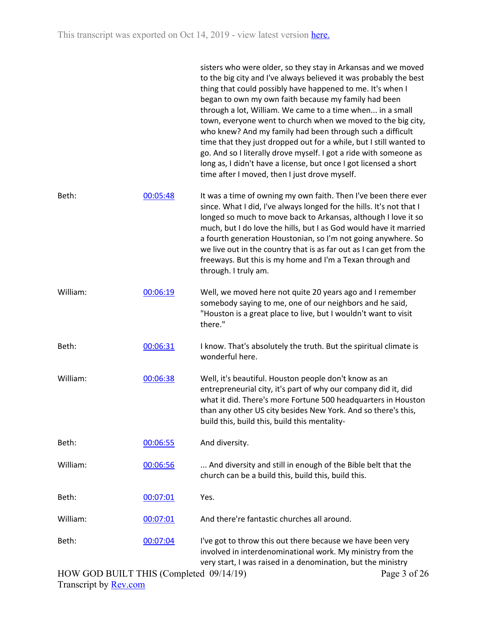|          |          | sisters who were older, so they stay in Arkansas and we moved<br>to the big city and I've always believed it was probably the best<br>thing that could possibly have happened to me. It's when I<br>began to own my own faith because my family had been<br>through a lot, William. We came to a time when in a small<br>town, everyone went to church when we moved to the big city,<br>who knew? And my family had been through such a difficult<br>time that they just dropped out for a while, but I still wanted to<br>go. And so I literally drove myself. I got a ride with someone as<br>long as, I didn't have a license, but once I got licensed a short<br>time after I moved, then I just drove myself. |
|----------|----------|---------------------------------------------------------------------------------------------------------------------------------------------------------------------------------------------------------------------------------------------------------------------------------------------------------------------------------------------------------------------------------------------------------------------------------------------------------------------------------------------------------------------------------------------------------------------------------------------------------------------------------------------------------------------------------------------------------------------|
| Beth:    | 00:05:48 | It was a time of owning my own faith. Then I've been there ever<br>since. What I did, I've always longed for the hills. It's not that I<br>longed so much to move back to Arkansas, although I love it so<br>much, but I do love the hills, but I as God would have it married<br>a fourth generation Houstonian, so I'm not going anywhere. So<br>we live out in the country that is as far out as I can get from the<br>freeways. But this is my home and I'm a Texan through and<br>through. I truly am.                                                                                                                                                                                                         |
| William: | 00:06:19 | Well, we moved here not quite 20 years ago and I remember<br>somebody saying to me, one of our neighbors and he said,<br>"Houston is a great place to live, but I wouldn't want to visit<br>there."                                                                                                                                                                                                                                                                                                                                                                                                                                                                                                                 |
| Beth:    | 00:06:31 | I know. That's absolutely the truth. But the spiritual climate is<br>wonderful here.                                                                                                                                                                                                                                                                                                                                                                                                                                                                                                                                                                                                                                |
| William: | 00:06:38 | Well, it's beautiful. Houston people don't know as an<br>entrepreneurial city, it's part of why our company did it, did<br>what it did. There's more Fortune 500 headquarters in Houston<br>than any other US city besides New York. And so there's this,<br>build this, build this, build this mentality-                                                                                                                                                                                                                                                                                                                                                                                                          |
| Beth:    | 00:06:55 | And diversity.                                                                                                                                                                                                                                                                                                                                                                                                                                                                                                                                                                                                                                                                                                      |
| William: | 00:06:56 | And diversity and still in enough of the Bible belt that the<br>church can be a build this, build this, build this.                                                                                                                                                                                                                                                                                                                                                                                                                                                                                                                                                                                                 |
| Beth:    | 00:07:01 | Yes.                                                                                                                                                                                                                                                                                                                                                                                                                                                                                                                                                                                                                                                                                                                |
| William: | 00:07:01 | And there're fantastic churches all around.                                                                                                                                                                                                                                                                                                                                                                                                                                                                                                                                                                                                                                                                         |
| Beth:    | 00:07:04 | I've got to throw this out there because we have been very<br>involved in interdenominational work. My ministry from the<br>very start, I was raised in a denomination, but the ministry                                                                                                                                                                                                                                                                                                                                                                                                                                                                                                                            |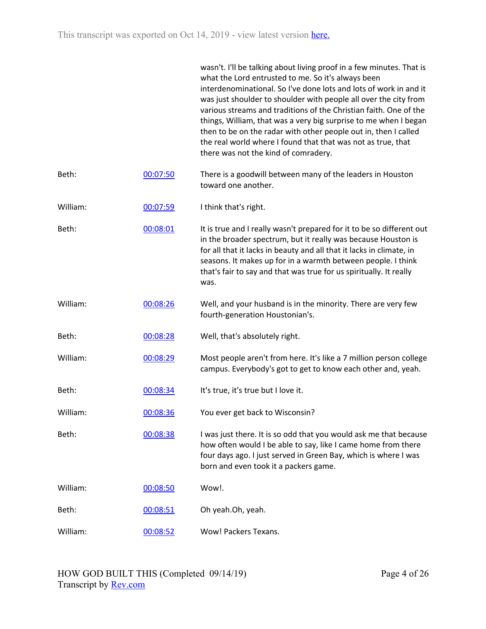|          |          | wasn't. I'll be talking about living proof in a few minutes. That is<br>what the Lord entrusted to me. So it's always been<br>interdenominational. So I've done lots and lots of work in and it<br>was just shoulder to shoulder with people all over the city from<br>various streams and traditions of the Christian faith. One of the<br>things, William, that was a very big surprise to me when I began<br>then to be on the radar with other people out in, then I called<br>the real world where I found that that was not as true, that<br>there was not the kind of comradery. |
|----------|----------|-----------------------------------------------------------------------------------------------------------------------------------------------------------------------------------------------------------------------------------------------------------------------------------------------------------------------------------------------------------------------------------------------------------------------------------------------------------------------------------------------------------------------------------------------------------------------------------------|
| Beth:    | 00:07:50 | There is a goodwill between many of the leaders in Houston<br>toward one another.                                                                                                                                                                                                                                                                                                                                                                                                                                                                                                       |
| William: | 00:07:59 | I think that's right.                                                                                                                                                                                                                                                                                                                                                                                                                                                                                                                                                                   |
| Beth:    | 00:08:01 | It is true and I really wasn't prepared for it to be so different out<br>in the broader spectrum, but it really was because Houston is<br>for all that it lacks in beauty and all that it lacks in climate, in<br>seasons. It makes up for in a warmth between people. I think<br>that's fair to say and that was true for us spiritually. It really<br>was.                                                                                                                                                                                                                            |
| William: | 00:08:26 | Well, and your husband is in the minority. There are very few<br>fourth-generation Houstonian's.                                                                                                                                                                                                                                                                                                                                                                                                                                                                                        |
| Beth:    | 00:08:28 | Well, that's absolutely right.                                                                                                                                                                                                                                                                                                                                                                                                                                                                                                                                                          |
| William: | 00:08:29 | Most people aren't from here. It's like a 7 million person college<br>campus. Everybody's got to get to know each other and, yeah.                                                                                                                                                                                                                                                                                                                                                                                                                                                      |
| Beth:    | 00:08:34 | It's true, it's true but I love it.                                                                                                                                                                                                                                                                                                                                                                                                                                                                                                                                                     |
| William: | 00:08:36 | You ever get back to Wisconsin?                                                                                                                                                                                                                                                                                                                                                                                                                                                                                                                                                         |
| Beth:    | 00:08:38 | I was just there. It is so odd that you would ask me that because<br>how often would I be able to say, like I came home from there<br>four days ago. I just served in Green Bay, which is where I was<br>born and even took it a packers game.                                                                                                                                                                                                                                                                                                                                          |
| William: | 00:08:50 | Wow!.                                                                                                                                                                                                                                                                                                                                                                                                                                                                                                                                                                                   |
| Beth:    | 00:08:51 | Oh yeah.Oh, yeah.                                                                                                                                                                                                                                                                                                                                                                                                                                                                                                                                                                       |
| William: | 00:08:52 | Wow! Packers Texans.                                                                                                                                                                                                                                                                                                                                                                                                                                                                                                                                                                    |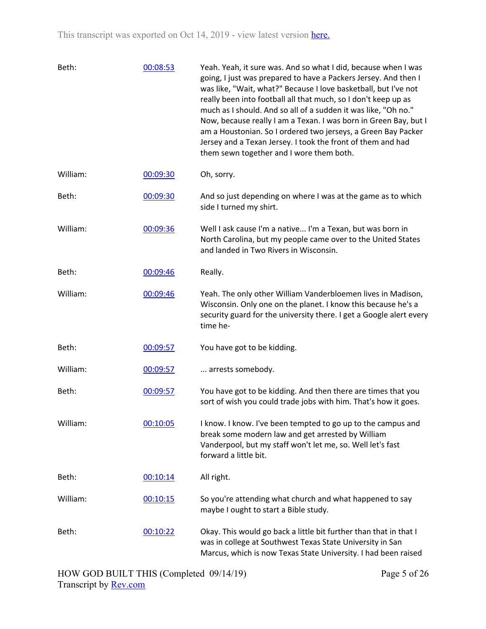| Beth:    | 00:08:53 | Yeah. Yeah, it sure was. And so what I did, because when I was<br>going, I just was prepared to have a Packers Jersey. And then I<br>was like, "Wait, what?" Because I love basketball, but I've not<br>really been into football all that much, so I don't keep up as<br>much as I should. And so all of a sudden it was like, "Oh no."<br>Now, because really I am a Texan. I was born in Green Bay, but I<br>am a Houstonian. So I ordered two jerseys, a Green Bay Packer<br>Jersey and a Texan Jersey. I took the front of them and had<br>them sewn together and I wore them both. |
|----------|----------|------------------------------------------------------------------------------------------------------------------------------------------------------------------------------------------------------------------------------------------------------------------------------------------------------------------------------------------------------------------------------------------------------------------------------------------------------------------------------------------------------------------------------------------------------------------------------------------|
| William: | 00:09:30 | Oh, sorry.                                                                                                                                                                                                                                                                                                                                                                                                                                                                                                                                                                               |
| Beth:    | 00:09:30 | And so just depending on where I was at the game as to which<br>side I turned my shirt.                                                                                                                                                                                                                                                                                                                                                                                                                                                                                                  |
| William: | 00:09:36 | Well I ask cause I'm a native I'm a Texan, but was born in<br>North Carolina, but my people came over to the United States<br>and landed in Two Rivers in Wisconsin.                                                                                                                                                                                                                                                                                                                                                                                                                     |
| Beth:    | 00:09:46 | Really.                                                                                                                                                                                                                                                                                                                                                                                                                                                                                                                                                                                  |
| William: | 00:09:46 | Yeah. The only other William Vanderbloemen lives in Madison,<br>Wisconsin. Only one on the planet. I know this because he's a<br>security guard for the university there. I get a Google alert every<br>time he-                                                                                                                                                                                                                                                                                                                                                                         |
| Beth:    | 00:09:57 | You have got to be kidding.                                                                                                                                                                                                                                                                                                                                                                                                                                                                                                                                                              |
| William: | 00:09:57 | arrests somebody.                                                                                                                                                                                                                                                                                                                                                                                                                                                                                                                                                                        |
| Beth:    | 00:09:57 | You have got to be kidding. And then there are times that you<br>sort of wish you could trade jobs with him. That's how it goes.                                                                                                                                                                                                                                                                                                                                                                                                                                                         |
| William: | 00:10:05 | I know. I know. I've been tempted to go up to the campus and<br>break some modern law and get arrested by William<br>Vanderpool, but my staff won't let me, so. Well let's fast<br>forward a little bit.                                                                                                                                                                                                                                                                                                                                                                                 |
| Beth:    | 00:10:14 | All right.                                                                                                                                                                                                                                                                                                                                                                                                                                                                                                                                                                               |
| William: | 00:10:15 | So you're attending what church and what happened to say<br>maybe I ought to start a Bible study.                                                                                                                                                                                                                                                                                                                                                                                                                                                                                        |
| Beth:    | 00:10:22 | Okay. This would go back a little bit further than that in that I<br>was in college at Southwest Texas State University in San<br>Marcus, which is now Texas State University. I had been raised                                                                                                                                                                                                                                                                                                                                                                                         |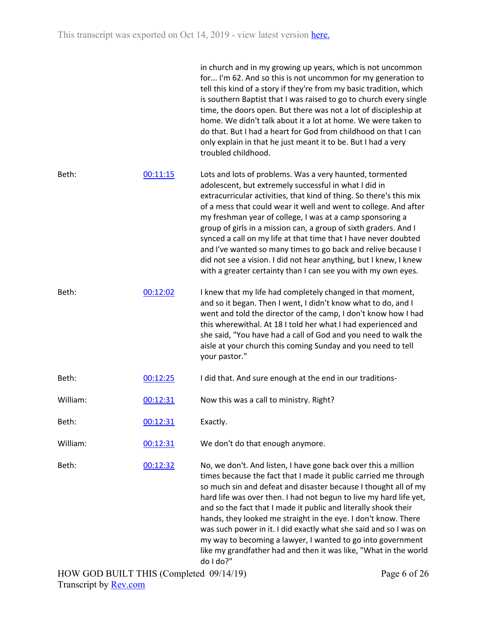|          |          | in church and in my growing up years, which is not uncommon<br>for I'm 62. And so this is not uncommon for my generation to<br>tell this kind of a story if they're from my basic tradition, which<br>is southern Baptist that I was raised to go to church every single<br>time, the doors open. But there was not a lot of discipleship at<br>home. We didn't talk about it a lot at home. We were taken to<br>do that. But I had a heart for God from childhood on that I can<br>only explain in that he just meant it to be. But I had a very<br>troubled childhood.                                                                                                |
|----------|----------|-------------------------------------------------------------------------------------------------------------------------------------------------------------------------------------------------------------------------------------------------------------------------------------------------------------------------------------------------------------------------------------------------------------------------------------------------------------------------------------------------------------------------------------------------------------------------------------------------------------------------------------------------------------------------|
| Beth:    | 00:11:15 | Lots and lots of problems. Was a very haunted, tormented<br>adolescent, but extremely successful in what I did in<br>extracurricular activities, that kind of thing. So there's this mix<br>of a mess that could wear it well and went to college. And after<br>my freshman year of college, I was at a camp sponsoring a<br>group of girls in a mission can, a group of sixth graders. And I<br>synced a call on my life at that time that I have never doubted<br>and I've wanted so many times to go back and relive because I<br>did not see a vision. I did not hear anything, but I knew, I knew<br>with a greater certainty than I can see you with my own eyes. |
| Beth:    | 00:12:02 | I knew that my life had completely changed in that moment,<br>and so it began. Then I went, I didn't know what to do, and I<br>went and told the director of the camp, I don't know how I had<br>this wherewithal. At 18 I told her what I had experienced and<br>she said, "You have had a call of God and you need to walk the<br>aisle at your church this coming Sunday and you need to tell<br>your pastor."                                                                                                                                                                                                                                                       |
| Beth:    | 00:12:25 | I did that. And sure enough at the end in our traditions-                                                                                                                                                                                                                                                                                                                                                                                                                                                                                                                                                                                                               |
| William: | 00:12:31 | Now this was a call to ministry. Right?                                                                                                                                                                                                                                                                                                                                                                                                                                                                                                                                                                                                                                 |
| Beth:    | 00:12:31 | Exactly.                                                                                                                                                                                                                                                                                                                                                                                                                                                                                                                                                                                                                                                                |
| William: | 00:12:31 | We don't do that enough anymore.                                                                                                                                                                                                                                                                                                                                                                                                                                                                                                                                                                                                                                        |
| Beth:    | 00:12:32 | No, we don't. And listen, I have gone back over this a million<br>times because the fact that I made it public carried me through<br>so much sin and defeat and disaster because I thought all of my<br>hard life was over then. I had not begun to live my hard life yet,<br>and so the fact that I made it public and literally shook their<br>hands, they looked me straight in the eye. I don't know. There<br>was such power in it. I did exactly what she said and so I was on<br>my way to becoming a lawyer, I wanted to go into government<br>like my grandfather had and then it was like, "What in the world<br>do I do?"                                    |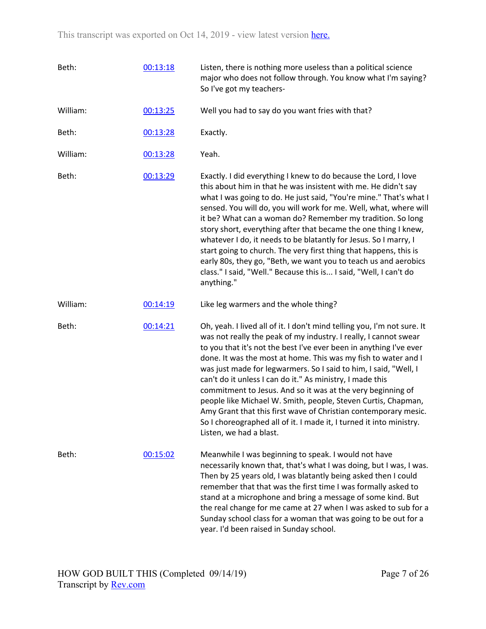| Beth:    | 00:13:18 | Listen, there is nothing more useless than a political science<br>major who does not follow through. You know what I'm saying?<br>So I've got my teachers-                                                                                                                                                                                                                                                                                                                                                                                                                                                                                                                                                                |
|----------|----------|---------------------------------------------------------------------------------------------------------------------------------------------------------------------------------------------------------------------------------------------------------------------------------------------------------------------------------------------------------------------------------------------------------------------------------------------------------------------------------------------------------------------------------------------------------------------------------------------------------------------------------------------------------------------------------------------------------------------------|
| William: | 00:13:25 | Well you had to say do you want fries with that?                                                                                                                                                                                                                                                                                                                                                                                                                                                                                                                                                                                                                                                                          |
| Beth:    | 00:13:28 | Exactly.                                                                                                                                                                                                                                                                                                                                                                                                                                                                                                                                                                                                                                                                                                                  |
| William: | 00:13:28 | Yeah.                                                                                                                                                                                                                                                                                                                                                                                                                                                                                                                                                                                                                                                                                                                     |
| Beth:    | 00:13:29 | Exactly. I did everything I knew to do because the Lord, I love<br>this about him in that he was insistent with me. He didn't say<br>what I was going to do. He just said, "You're mine." That's what I<br>sensed. You will do, you will work for me. Well, what, where will<br>it be? What can a woman do? Remember my tradition. So long<br>story short, everything after that became the one thing I knew,<br>whatever I do, it needs to be blatantly for Jesus. So I marry, I<br>start going to church. The very first thing that happens, this is<br>early 80s, they go, "Beth, we want you to teach us and aerobics<br>class." I said, "Well." Because this is I said, "Well, I can't do<br>anything."              |
| William: | 00:14:19 | Like leg warmers and the whole thing?                                                                                                                                                                                                                                                                                                                                                                                                                                                                                                                                                                                                                                                                                     |
| Beth:    | 00:14:21 | Oh, yeah. I lived all of it. I don't mind telling you, I'm not sure. It<br>was not really the peak of my industry. I really, I cannot swear<br>to you that it's not the best I've ever been in anything I've ever<br>done. It was the most at home. This was my fish to water and I<br>was just made for legwarmers. So I said to him, I said, "Well, I<br>can't do it unless I can do it." As ministry, I made this<br>commitment to Jesus. And so it was at the very beginning of<br>people like Michael W. Smith, people, Steven Curtis, Chapman,<br>Amy Grant that this first wave of Christian contemporary mesic.<br>So I choreographed all of it. I made it, I turned it into ministry.<br>Listen, we had a blast. |
| Beth:    | 00:15:02 | Meanwhile I was beginning to speak. I would not have<br>necessarily known that, that's what I was doing, but I was, I was.<br>Then by 25 years old, I was blatantly being asked then I could<br>remember that that was the first time I was formally asked to<br>stand at a microphone and bring a message of some kind. But<br>the real change for me came at 27 when I was asked to sub for a<br>Sunday school class for a woman that was going to be out for a<br>year. I'd been raised in Sunday school.                                                                                                                                                                                                              |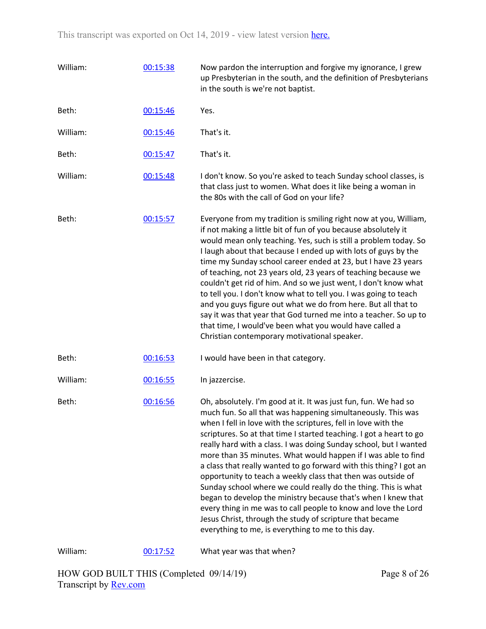| William: | 00:15:38 | Now pardon the interruption and forgive my ignorance, I grew<br>up Presbyterian in the south, and the definition of Presbyterians<br>in the south is we're not baptist.                                                                                                                                                                                                                                                                                                                                                                                                                                                                                                                                                                                                                                                                                                     |
|----------|----------|-----------------------------------------------------------------------------------------------------------------------------------------------------------------------------------------------------------------------------------------------------------------------------------------------------------------------------------------------------------------------------------------------------------------------------------------------------------------------------------------------------------------------------------------------------------------------------------------------------------------------------------------------------------------------------------------------------------------------------------------------------------------------------------------------------------------------------------------------------------------------------|
| Beth:    | 00:15:46 | Yes.                                                                                                                                                                                                                                                                                                                                                                                                                                                                                                                                                                                                                                                                                                                                                                                                                                                                        |
| William: | 00:15:46 | That's it.                                                                                                                                                                                                                                                                                                                                                                                                                                                                                                                                                                                                                                                                                                                                                                                                                                                                  |
| Beth:    | 00:15:47 | That's it.                                                                                                                                                                                                                                                                                                                                                                                                                                                                                                                                                                                                                                                                                                                                                                                                                                                                  |
| William: | 00:15:48 | I don't know. So you're asked to teach Sunday school classes, is<br>that class just to women. What does it like being a woman in<br>the 80s with the call of God on your life?                                                                                                                                                                                                                                                                                                                                                                                                                                                                                                                                                                                                                                                                                              |
| Beth:    | 00:15:57 | Everyone from my tradition is smiling right now at you, William,<br>if not making a little bit of fun of you because absolutely it<br>would mean only teaching. Yes, such is still a problem today. So<br>I laugh about that because I ended up with lots of guys by the<br>time my Sunday school career ended at 23, but I have 23 years<br>of teaching, not 23 years old, 23 years of teaching because we<br>couldn't get rid of him. And so we just went, I don't know what<br>to tell you. I don't know what to tell you. I was going to teach<br>and you guys figure out what we do from here. But all that to<br>say it was that year that God turned me into a teacher. So up to<br>that time, I would've been what you would have called a<br>Christian contemporary motivational speaker.                                                                          |
| Beth:    | 00:16:53 | I would have been in that category.                                                                                                                                                                                                                                                                                                                                                                                                                                                                                                                                                                                                                                                                                                                                                                                                                                         |
| William: | 00:16:55 | In jazzercise.                                                                                                                                                                                                                                                                                                                                                                                                                                                                                                                                                                                                                                                                                                                                                                                                                                                              |
| Beth:    | 00:16:56 | Oh, absolutely. I'm good at it. It was just fun, fun. We had so<br>much fun. So all that was happening simultaneously. This was<br>when I fell in love with the scriptures, fell in love with the<br>scriptures. So at that time I started teaching. I got a heart to go<br>really hard with a class. I was doing Sunday school, but I wanted<br>more than 35 minutes. What would happen if I was able to find<br>a class that really wanted to go forward with this thing? I got an<br>opportunity to teach a weekly class that then was outside of<br>Sunday school where we could really do the thing. This is what<br>began to develop the ministry because that's when I knew that<br>every thing in me was to call people to know and love the Lord<br>Jesus Christ, through the study of scripture that became<br>everything to me, is everything to me to this day. |
| William: | 00:17:52 | What year was that when?                                                                                                                                                                                                                                                                                                                                                                                                                                                                                                                                                                                                                                                                                                                                                                                                                                                    |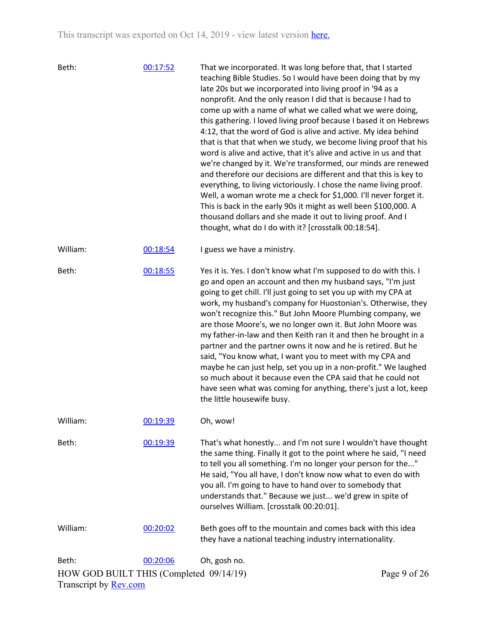| Beth:                                                                   | 00:17:52 | That we incorporated. It was long before that, that I started<br>teaching Bible Studies. So I would have been doing that by my<br>late 20s but we incorporated into living proof in '94 as a<br>nonprofit. And the only reason I did that is because I had to<br>come up with a name of what we called what we were doing,<br>this gathering. I loved living proof because I based it on Hebrews<br>4:12, that the word of God is alive and active. My idea behind<br>that is that that when we study, we become living proof that his<br>word is alive and active, that it's alive and active in us and that<br>we're changed by it. We're transformed, our minds are renewed<br>and therefore our decisions are different and that this is key to<br>everything, to living victoriously. I chose the name living proof.<br>Well, a woman wrote me a check for \$1,000. I'll never forget it.<br>This is back in the early 90s it might as well been \$100,000. A<br>thousand dollars and she made it out to living proof. And I<br>thought, what do I do with it? [crosstalk 00:18:54]. |              |
|-------------------------------------------------------------------------|----------|-------------------------------------------------------------------------------------------------------------------------------------------------------------------------------------------------------------------------------------------------------------------------------------------------------------------------------------------------------------------------------------------------------------------------------------------------------------------------------------------------------------------------------------------------------------------------------------------------------------------------------------------------------------------------------------------------------------------------------------------------------------------------------------------------------------------------------------------------------------------------------------------------------------------------------------------------------------------------------------------------------------------------------------------------------------------------------------------|--------------|
| William:                                                                | 00:18:54 | I guess we have a ministry.                                                                                                                                                                                                                                                                                                                                                                                                                                                                                                                                                                                                                                                                                                                                                                                                                                                                                                                                                                                                                                                               |              |
| Beth:                                                                   | 00:18:55 | Yes it is. Yes. I don't know what I'm supposed to do with this. I<br>go and open an account and then my husband says, "I'm just<br>going to get chill. I'll just going to set you up with my CPA at<br>work, my husband's company for Huostonian's. Otherwise, they<br>won't recognize this." But John Moore Plumbing company, we<br>are those Moore's, we no longer own it. But John Moore was<br>my father-in-law and then Keith ran it and then he brought in a<br>partner and the partner owns it now and he is retired. But he<br>said, "You know what, I want you to meet with my CPA and<br>maybe he can just help, set you up in a non-profit." We laughed<br>so much about it because even the CPA said that he could not<br>have seen what was coming for anything, there's just a lot, keep<br>the little housewife busy.                                                                                                                                                                                                                                                      |              |
| William:                                                                | 00:19:39 | Oh, wow!                                                                                                                                                                                                                                                                                                                                                                                                                                                                                                                                                                                                                                                                                                                                                                                                                                                                                                                                                                                                                                                                                  |              |
| Beth:                                                                   | 00:19:39 | That's what honestly and I'm not sure I wouldn't have thought<br>the same thing. Finally it got to the point where he said, "I need<br>to tell you all something. I'm no longer your person for the"<br>He said, "You all have, I don't know now what to even do with<br>you all. I'm going to have to hand over to somebody that<br>understands that." Because we just we'd grew in spite of<br>ourselves William. [crosstalk 00:20:01].                                                                                                                                                                                                                                                                                                                                                                                                                                                                                                                                                                                                                                                 |              |
| William:                                                                | 00:20:02 | Beth goes off to the mountain and comes back with this idea<br>they have a national teaching industry internationality.                                                                                                                                                                                                                                                                                                                                                                                                                                                                                                                                                                                                                                                                                                                                                                                                                                                                                                                                                                   |              |
| Beth:                                                                   | 00:20:06 | Oh, gosh no.                                                                                                                                                                                                                                                                                                                                                                                                                                                                                                                                                                                                                                                                                                                                                                                                                                                                                                                                                                                                                                                                              |              |
| HOW GOD BUILT THIS (Completed 09/14/19)<br>Transcript by <b>Rev.com</b> |          |                                                                                                                                                                                                                                                                                                                                                                                                                                                                                                                                                                                                                                                                                                                                                                                                                                                                                                                                                                                                                                                                                           | Page 9 of 26 |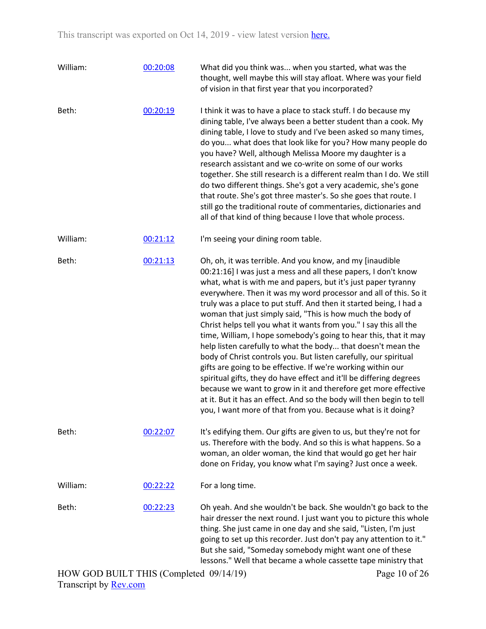| William: | 00:20:08 | What did you think was when you started, what was the<br>thought, well maybe this will stay afloat. Where was your field<br>of vision in that first year that you incorporated?                                                                                                                                                                                                                                                                                                                                                                                                                                                                                                                                                                                                                                                                                                                                                                                                                                                   |
|----------|----------|-----------------------------------------------------------------------------------------------------------------------------------------------------------------------------------------------------------------------------------------------------------------------------------------------------------------------------------------------------------------------------------------------------------------------------------------------------------------------------------------------------------------------------------------------------------------------------------------------------------------------------------------------------------------------------------------------------------------------------------------------------------------------------------------------------------------------------------------------------------------------------------------------------------------------------------------------------------------------------------------------------------------------------------|
| Beth:    | 00:20:19 | I think it was to have a place to stack stuff. I do because my<br>dining table, I've always been a better student than a cook. My<br>dining table, I love to study and I've been asked so many times,<br>do you what does that look like for you? How many people do<br>you have? Well, although Melissa Moore my daughter is a<br>research assistant and we co-write on some of our works<br>together. She still research is a different realm than I do. We still<br>do two different things. She's got a very academic, she's gone<br>that route. She's got three master's. So she goes that route. I<br>still go the traditional route of commentaries, dictionaries and<br>all of that kind of thing because I love that whole process.                                                                                                                                                                                                                                                                                      |
| William: | 00:21:12 | I'm seeing your dining room table.                                                                                                                                                                                                                                                                                                                                                                                                                                                                                                                                                                                                                                                                                                                                                                                                                                                                                                                                                                                                |
| Beth:    | 00:21:13 | Oh, oh, it was terrible. And you know, and my [inaudible<br>00:21:16] I was just a mess and all these papers, I don't know<br>what, what is with me and papers, but it's just paper tyranny<br>everywhere. Then it was my word processor and all of this. So it<br>truly was a place to put stuff. And then it started being, I had a<br>woman that just simply said, "This is how much the body of<br>Christ helps tell you what it wants from you." I say this all the<br>time, William, I hope somebody's going to hear this, that it may<br>help listen carefully to what the body that doesn't mean the<br>body of Christ controls you. But listen carefully, our spiritual<br>gifts are going to be effective. If we're working within our<br>spiritual gifts, they do have effect and it'll be differing degrees<br>because we want to grow in it and therefore get more effective<br>at it. But it has an effect. And so the body will then begin to tell<br>you, I want more of that from you. Because what is it doing? |
| Beth:    | 00:22:07 | It's edifying them. Our gifts are given to us, but they're not for<br>us. Therefore with the body. And so this is what happens. So a<br>woman, an older woman, the kind that would go get her hair<br>done on Friday, you know what I'm saying? Just once a week.                                                                                                                                                                                                                                                                                                                                                                                                                                                                                                                                                                                                                                                                                                                                                                 |
| William: | 00:22:22 | For a long time.                                                                                                                                                                                                                                                                                                                                                                                                                                                                                                                                                                                                                                                                                                                                                                                                                                                                                                                                                                                                                  |
| Beth:    | 00:22:23 | Oh yeah. And she wouldn't be back. She wouldn't go back to the<br>hair dresser the next round. I just want you to picture this whole<br>thing. She just came in one day and she said, "Listen, I'm just<br>going to set up this recorder. Just don't pay any attention to it."<br>But she said, "Someday somebody might want one of these<br>lessons." Well that became a whole cassette tape ministry that                                                                                                                                                                                                                                                                                                                                                                                                                                                                                                                                                                                                                       |
|          |          |                                                                                                                                                                                                                                                                                                                                                                                                                                                                                                                                                                                                                                                                                                                                                                                                                                                                                                                                                                                                                                   |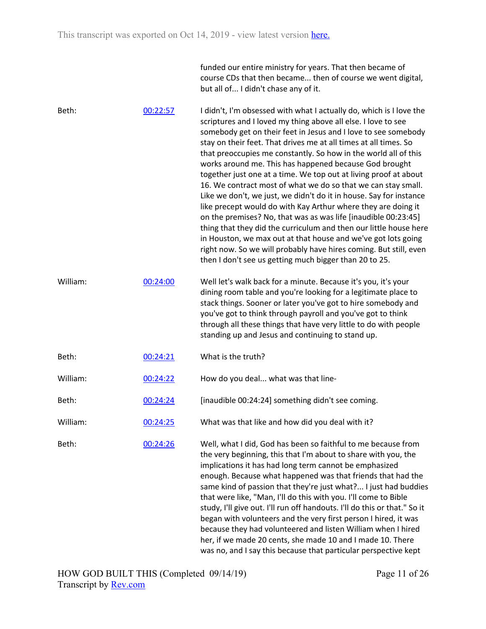funded our entire ministry for years. That then became of course CDs that then became... then of course we went digital, but all of... I didn't chase any of it.

Beth: 00:22:57 I didn't, I'm obsessed with what I actually do, which is I love the scriptures and I loved my thing above all else. I love to see somebody get on their feet in Jesus and I love to see somebody stay on their feet. That drives me at all times at all times. So that preoccupies me constantly. So how in the world all of this works around me. This has happened because God brought together just one at a time. We top out at living proof at about 16. We contract most of what we do so that we can stay small. Like we don't, we just, we didn't do it in house. Say for instance like precept would do with Kay Arthur where they are doing it on the premises? No, that was as was life [inaudible 00:23:45] thing that they did the curriculum and then our little house here in Houston, we max out at that house and we've got lots going right now. So we will probably have hires coming. But still, even then I don't see us getting much bigger than 20 to 25. William: 00:24:00 Well let's walk back for a minute. Because it's you, it's your dining room table and you're looking for a legitimate place to stack things. Sooner or later you've got to hire somebody and you've got to think through payroll and you've got to think through all these things that have very little to do with people standing up and Jesus and continuing to stand up. Beth: 00:24:21 What is the truth? William: 00:24:22 How do you deal... what was that line-Beth: 00:24:24 [inaudible 00:24:24] something didn't see coming. William: 00:24:25 What was that like and how did you deal with it? Beth: 00:24:26 Well, what I did, God has been so faithful to me because from the very beginning, this that I'm about to share with you, the implications it has had long term cannot be emphasized enough. Because what happened was that friends that had the same kind of passion that they're just what?... I just had buddies that were like, "Man, I'll do this with you. I'll come to Bible study, I'll give out. I'll run off handouts. I'll do this or that." So it began with volunteers and the very first person I hired, it was because they had volunteered and listen William when I hired her, if we made 20 cents, she made 10 and I made 10. There was no, and I say this because that particular perspective kept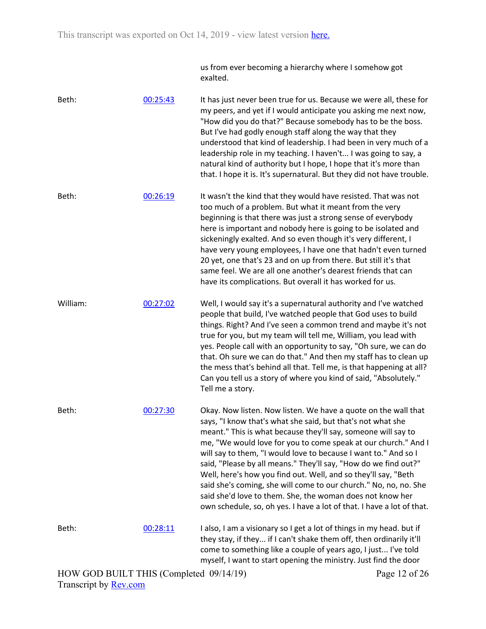us from ever becoming a hierarchy where I somehow got exalted.

Beth: 00:25:43 It has just never been true for us. Because we were all, these for my peers, and yet if I would anticipate you asking me next now, "How did you do that?" Because somebody has to be the boss. But I've had godly enough staff along the way that they understood that kind of leadership. I had been in very much of a leadership role in my teaching. I haven't... I was going to say, a natural kind of authority but I hope, I hope that it's more than that. I hope it is. It's supernatural. But they did not have trouble.

Beth: 00:26:19 It wasn't the kind that they would have resisted. That was not too much of a problem. But what it meant from the very beginning is that there was just a strong sense of everybody here is important and nobody here is going to be isolated and sickeningly exalted. And so even though it's very different, I have very young employees, I have one that hadn't even turned 20 yet, one that's 23 and on up from there. But still it's that same feel. We are all one another's dearest friends that can have its complications. But overall it has worked for us.

William: 00:27:02 Well, I would say it's a supernatural authority and I've watched people that build, I've watched people that God uses to build things. Right? And I've seen a common trend and maybe it's not true for you, but my team will tell me, William, you lead with yes. People call with an opportunity to say, "Oh sure, we can do that. Oh sure we can do that." And then my staff has to clean up the mess that's behind all that. Tell me, is that happening at all? Can you tell us a story of where you kind of said, "Absolutely." Tell me a story.

Beth: 00:27:30 Okay. Now listen. Now listen. We have a quote on the wall that says, "I know that's what she said, but that's not what she meant." This is what because they'll say, someone will say to me, "We would love for you to come speak at our church." And I will say to them, "I would love to because I want to." And so I said, "Please by all means." They'll say, "How do we find out?" Well, here's how you find out. Well, and so they'll say, "Beth said she's coming, she will come to our church." No, no, no. She said she'd love to them. She, the woman does not know her own schedule, so, oh yes. I have a lot of that. I have a lot of that.

Beth: 00:28:11 I also, I am a visionary so I get a lot of things in my head. but if they stay, if they... if I can't shake them off, then ordinarily it'll come to something like a couple of years ago, I just... I've told myself, I want to start opening the ministry. Just find the door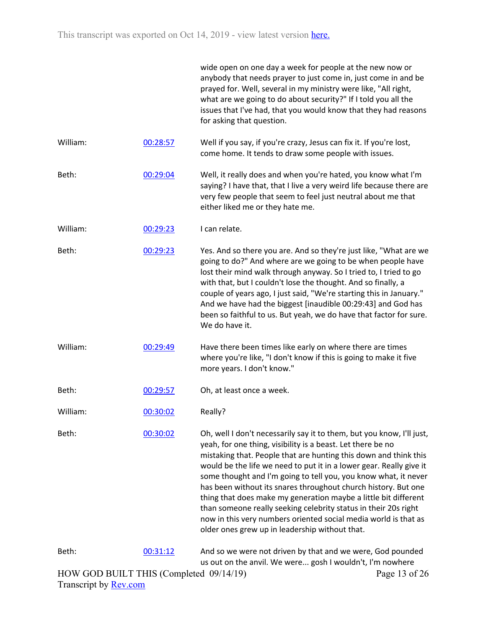|                                         |          | wide open on one day a week for people at the new now or<br>anybody that needs prayer to just come in, just come in and be<br>prayed for. Well, several in my ministry were like, "All right,<br>what are we going to do about security?" If I told you all the<br>issues that I've had, that you would know that they had reasons<br>for asking that question.                                                                                                                                                                                                                                                                                                                 |
|-----------------------------------------|----------|---------------------------------------------------------------------------------------------------------------------------------------------------------------------------------------------------------------------------------------------------------------------------------------------------------------------------------------------------------------------------------------------------------------------------------------------------------------------------------------------------------------------------------------------------------------------------------------------------------------------------------------------------------------------------------|
| William:                                | 00:28:57 | Well if you say, if you're crazy, Jesus can fix it. If you're lost,<br>come home. It tends to draw some people with issues.                                                                                                                                                                                                                                                                                                                                                                                                                                                                                                                                                     |
| Beth:                                   | 00:29:04 | Well, it really does and when you're hated, you know what I'm<br>saying? I have that, that I live a very weird life because there are<br>very few people that seem to feel just neutral about me that<br>either liked me or they hate me.                                                                                                                                                                                                                                                                                                                                                                                                                                       |
| William:                                | 00:29:23 | I can relate.                                                                                                                                                                                                                                                                                                                                                                                                                                                                                                                                                                                                                                                                   |
| Beth:                                   | 00:29:23 | Yes. And so there you are. And so they're just like, "What are we<br>going to do?" And where are we going to be when people have<br>lost their mind walk through anyway. So I tried to, I tried to go<br>with that, but I couldn't lose the thought. And so finally, a<br>couple of years ago, I just said, "We're starting this in January."<br>And we have had the biggest [inaudible 00:29:43] and God has<br>been so faithful to us. But yeah, we do have that factor for sure.<br>We do have it.                                                                                                                                                                           |
| William:                                | 00:29:49 | Have there been times like early on where there are times<br>where you're like, "I don't know if this is going to make it five<br>more years. I don't know."                                                                                                                                                                                                                                                                                                                                                                                                                                                                                                                    |
| Beth:                                   | 00:29:57 | Oh, at least once a week.                                                                                                                                                                                                                                                                                                                                                                                                                                                                                                                                                                                                                                                       |
| William:                                | 00:30:02 | Really?                                                                                                                                                                                                                                                                                                                                                                                                                                                                                                                                                                                                                                                                         |
| Beth:                                   | 00:30:02 | Oh, well I don't necessarily say it to them, but you know, I'll just,<br>yeah, for one thing, visibility is a beast. Let there be no<br>mistaking that. People that are hunting this down and think this<br>would be the life we need to put it in a lower gear. Really give it<br>some thought and I'm going to tell you, you know what, it never<br>has been without its snares throughout church history. But one<br>thing that does make my generation maybe a little bit different<br>than someone really seeking celebrity status in their 20s right<br>now in this very numbers oriented social media world is that as<br>older ones grew up in leadership without that. |
| Beth:                                   | 00:31:12 | And so we were not driven by that and we were, God pounded<br>us out on the anvil. We were gosh I wouldn't, I'm nowhere                                                                                                                                                                                                                                                                                                                                                                                                                                                                                                                                                         |
| HOW GOD BUILT THIS (Completed 09/14/19) |          | Page 13 of 26                                                                                                                                                                                                                                                                                                                                                                                                                                                                                                                                                                                                                                                                   |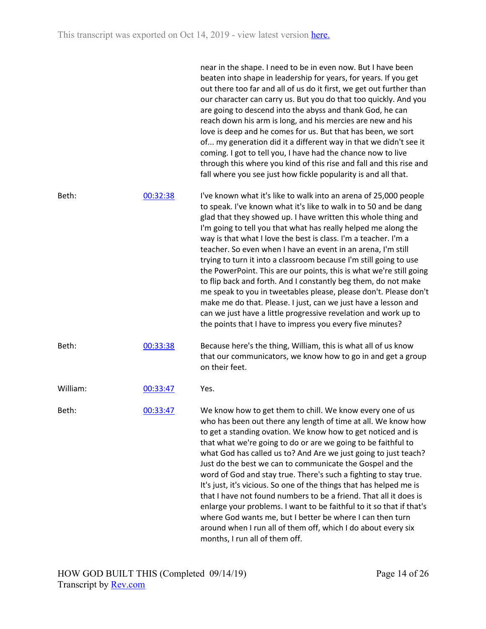|          |          | near in the shape. I need to be in even now. But I have been<br>beaten into shape in leadership for years, for years. If you get<br>out there too far and all of us do it first, we get out further than<br>our character can carry us. But you do that too quickly. And you<br>are going to descend into the abyss and thank God, he can<br>reach down his arm is long, and his mercies are new and his<br>love is deep and he comes for us. But that has been, we sort<br>of my generation did it a different way in that we didn't see it<br>coming. I got to tell you, I have had the chance now to live<br>through this where you kind of this rise and fall and this rise and<br>fall where you see just how fickle popularity is and all that.                                                                                                                                          |
|----------|----------|------------------------------------------------------------------------------------------------------------------------------------------------------------------------------------------------------------------------------------------------------------------------------------------------------------------------------------------------------------------------------------------------------------------------------------------------------------------------------------------------------------------------------------------------------------------------------------------------------------------------------------------------------------------------------------------------------------------------------------------------------------------------------------------------------------------------------------------------------------------------------------------------|
| Beth:    | 00:32:38 | I've known what it's like to walk into an arena of 25,000 people<br>to speak. I've known what it's like to walk in to 50 and be dang<br>glad that they showed up. I have written this whole thing and<br>I'm going to tell you that what has really helped me along the<br>way is that what I love the best is class. I'm a teacher. I'm a<br>teacher. So even when I have an event in an arena, I'm still<br>trying to turn it into a classroom because I'm still going to use<br>the PowerPoint. This are our points, this is what we're still going<br>to flip back and forth. And I constantly beg them, do not make<br>me speak to you in tweetables please, please don't. Please don't<br>make me do that. Please. I just, can we just have a lesson and<br>can we just have a little progressive revelation and work up to<br>the points that I have to impress you every five minutes? |
| Beth:    | 00:33:38 | Because here's the thing, William, this is what all of us know<br>that our communicators, we know how to go in and get a group<br>on their feet.                                                                                                                                                                                                                                                                                                                                                                                                                                                                                                                                                                                                                                                                                                                                               |
| William: | 00:33:47 | Yes.                                                                                                                                                                                                                                                                                                                                                                                                                                                                                                                                                                                                                                                                                                                                                                                                                                                                                           |
| Beth:    | 00:33:47 | We know how to get them to chill. We know every one of us<br>who has been out there any length of time at all. We know how<br>to get a standing ovation. We know how to get noticed and is<br>that what we're going to do or are we going to be faithful to<br>what God has called us to? And Are we just going to just teach?<br>Just do the best we can to communicate the Gospel and the<br>word of God and stay true. There's such a fighting to stay true.<br>It's just, it's vicious. So one of the things that has helped me is<br>that I have not found numbers to be a friend. That all it does is<br>enlarge your problems. I want to be faithful to it so that if that's<br>where God wants me, but I better be where I can then turn<br>around when I run all of them off, which I do about every six<br>months, I run all of them off.                                            |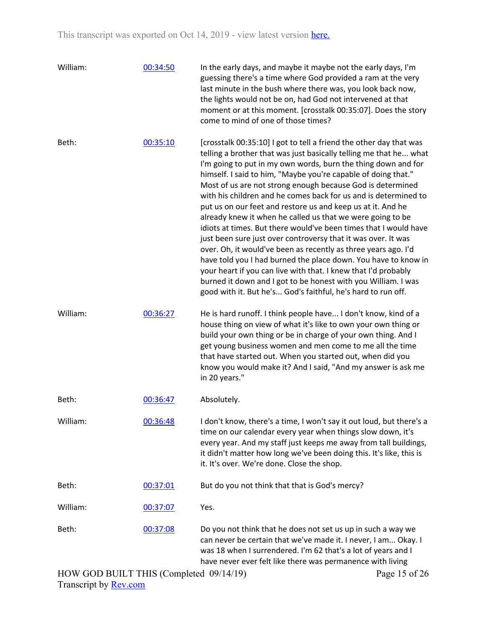| William: | 00:34:50 | In the early days, and maybe it maybe not the early days, I'm<br>guessing there's a time where God provided a ram at the very<br>last minute in the bush where there was, you look back now,<br>the lights would not be on, had God not intervened at that<br>moment or at this moment. [crosstalk 00:35:07]. Does the story<br>come to mind of one of those times?                                                                                                                                                                                                                                                                                                                                                                                                                                                                                                                                                                                                                                                 |
|----------|----------|---------------------------------------------------------------------------------------------------------------------------------------------------------------------------------------------------------------------------------------------------------------------------------------------------------------------------------------------------------------------------------------------------------------------------------------------------------------------------------------------------------------------------------------------------------------------------------------------------------------------------------------------------------------------------------------------------------------------------------------------------------------------------------------------------------------------------------------------------------------------------------------------------------------------------------------------------------------------------------------------------------------------|
| Beth:    | 00:35:10 | [crosstalk 00:35:10] I got to tell a friend the other day that was<br>telling a brother that was just basically telling me that he what<br>I'm going to put in my own words, burn the thing down and for<br>himself. I said to him, "Maybe you're capable of doing that."<br>Most of us are not strong enough because God is determined<br>with his children and he comes back for us and is determined to<br>put us on our feet and restore us and keep us at it. And he<br>already knew it when he called us that we were going to be<br>idiots at times. But there would've been times that I would have<br>just been sure just over controversy that it was over. It was<br>over. Oh, it would've been as recently as three years ago. I'd<br>have told you I had burned the place down. You have to know in<br>your heart if you can live with that. I knew that I'd probably<br>burned it down and I got to be honest with you William. I was<br>good with it. But he's God's faithful, he's hard to run off. |
| William: | 00:36:27 | He is hard runoff. I think people have I don't know, kind of a<br>house thing on view of what it's like to own your own thing or<br>build your own thing or be in charge of your own thing. And I<br>get young business women and men come to me all the time<br>that have started out. When you started out, when did you<br>know you would make it? And I said, "And my answer is ask me<br>in 20 years."                                                                                                                                                                                                                                                                                                                                                                                                                                                                                                                                                                                                         |
| Beth:    | 00:36:47 | Absolutely.                                                                                                                                                                                                                                                                                                                                                                                                                                                                                                                                                                                                                                                                                                                                                                                                                                                                                                                                                                                                         |
| William: | 00:36:48 | I don't know, there's a time, I won't say it out loud, but there's a<br>time on our calendar every year when things slow down, it's<br>every year. And my staff just keeps me away from tall buildings,<br>it didn't matter how long we've been doing this. It's like, this is<br>it. It's over. We're done. Close the shop.                                                                                                                                                                                                                                                                                                                                                                                                                                                                                                                                                                                                                                                                                        |
| Beth:    | 00:37:01 | But do you not think that that is God's mercy?                                                                                                                                                                                                                                                                                                                                                                                                                                                                                                                                                                                                                                                                                                                                                                                                                                                                                                                                                                      |
| William: | 00:37:07 | Yes.                                                                                                                                                                                                                                                                                                                                                                                                                                                                                                                                                                                                                                                                                                                                                                                                                                                                                                                                                                                                                |
| Beth:    | 00:37:08 | Do you not think that he does not set us up in such a way we<br>can never be certain that we've made it. I never, I am Okay. I<br>was 18 when I surrendered. I'm 62 that's a lot of years and I<br>have never ever felt like there was permanence with living                                                                                                                                                                                                                                                                                                                                                                                                                                                                                                                                                                                                                                                                                                                                                       |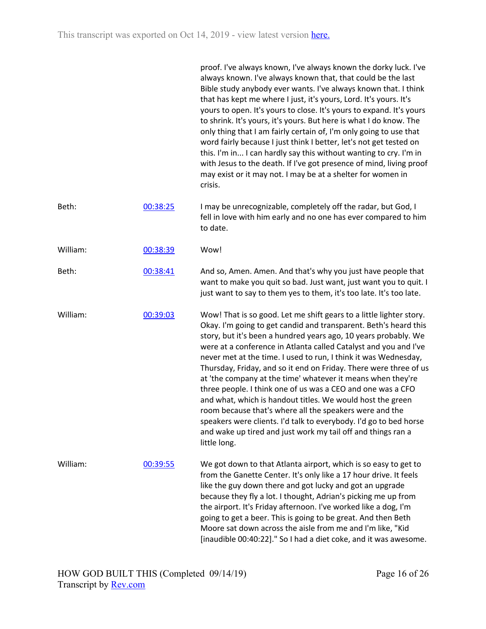|          |          | proof. I've always known, I've always known the dorky luck. I've<br>always known. I've always known that, that could be the last<br>Bible study anybody ever wants. I've always known that. I think<br>that has kept me where I just, it's yours, Lord. It's yours. It's<br>yours to open. It's yours to close. It's yours to expand. It's yours<br>to shrink. It's yours, it's yours. But here is what I do know. The<br>only thing that I am fairly certain of, I'm only going to use that<br>word fairly because I just think I better, let's not get tested on<br>this. I'm in I can hardly say this without wanting to cry. I'm in<br>with Jesus to the death. If I've got presence of mind, living proof<br>may exist or it may not. I may be at a shelter for women in<br>crisis.                                           |
|----------|----------|------------------------------------------------------------------------------------------------------------------------------------------------------------------------------------------------------------------------------------------------------------------------------------------------------------------------------------------------------------------------------------------------------------------------------------------------------------------------------------------------------------------------------------------------------------------------------------------------------------------------------------------------------------------------------------------------------------------------------------------------------------------------------------------------------------------------------------|
| Beth:    | 00:38:25 | I may be unrecognizable, completely off the radar, but God, I<br>fell in love with him early and no one has ever compared to him<br>to date.                                                                                                                                                                                                                                                                                                                                                                                                                                                                                                                                                                                                                                                                                       |
| William: | 00:38:39 | Wow!                                                                                                                                                                                                                                                                                                                                                                                                                                                                                                                                                                                                                                                                                                                                                                                                                               |
| Beth:    | 00:38:41 | And so, Amen. Amen. And that's why you just have people that<br>want to make you quit so bad. Just want, just want you to quit. I<br>just want to say to them yes to them, it's too late. It's too late.                                                                                                                                                                                                                                                                                                                                                                                                                                                                                                                                                                                                                           |
| William: | 00:39:03 | Wow! That is so good. Let me shift gears to a little lighter story.<br>Okay. I'm going to get candid and transparent. Beth's heard this<br>story, but it's been a hundred years ago, 10 years probably. We<br>were at a conference in Atlanta called Catalyst and you and I've<br>never met at the time. I used to run, I think it was Wednesday,<br>Thursday, Friday, and so it end on Friday. There were three of us<br>at 'the company at the time' whatever it means when they're<br>three people. I think one of us was a CEO and one was a CFO<br>and what, which is handout titles. We would host the green<br>room because that's where all the speakers were and the<br>speakers were clients. I'd talk to everybody. I'd go to bed horse<br>and wake up tired and just work my tail off and things ran a<br>little long. |
| William: | 00:39:55 | We got down to that Atlanta airport, which is so easy to get to<br>from the Ganette Center. It's only like a 17 hour drive. It feels<br>like the guy down there and got lucky and got an upgrade<br>because they fly a lot. I thought, Adrian's picking me up from<br>the airport. It's Friday afternoon. I've worked like a dog, I'm<br>going to get a beer. This is going to be great. And then Beth<br>Moore sat down across the aisle from me and I'm like, "Kid<br>[inaudible 00:40:22]." So I had a diet coke, and it was awesome.                                                                                                                                                                                                                                                                                           |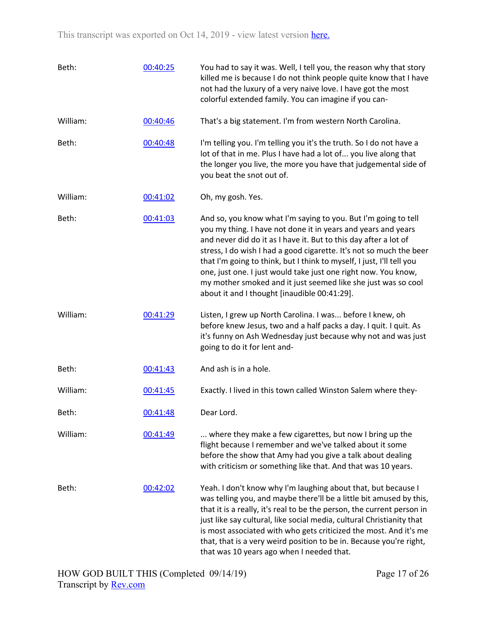| Beth:    | 00:40:25 | You had to say it was. Well, I tell you, the reason why that story<br>killed me is because I do not think people quite know that I have<br>not had the luxury of a very naive love. I have got the most<br>colorful extended family. You can imagine if you can-                                                                                                                                                                                                                                                                       |
|----------|----------|----------------------------------------------------------------------------------------------------------------------------------------------------------------------------------------------------------------------------------------------------------------------------------------------------------------------------------------------------------------------------------------------------------------------------------------------------------------------------------------------------------------------------------------|
| William: | 00:40:46 | That's a big statement. I'm from western North Carolina.                                                                                                                                                                                                                                                                                                                                                                                                                                                                               |
| Beth:    | 00:40:48 | I'm telling you. I'm telling you it's the truth. So I do not have a<br>lot of that in me. Plus I have had a lot of you live along that<br>the longer you live, the more you have that judgemental side of<br>you beat the snot out of.                                                                                                                                                                                                                                                                                                 |
| William: | 00:41:02 | Oh, my gosh. Yes.                                                                                                                                                                                                                                                                                                                                                                                                                                                                                                                      |
| Beth:    | 00:41:03 | And so, you know what I'm saying to you. But I'm going to tell<br>you my thing. I have not done it in years and years and years<br>and never did do it as I have it. But to this day after a lot of<br>stress, I do wish I had a good cigarette. It's not so much the beer<br>that I'm going to think, but I think to myself, I just, I'll tell you<br>one, just one. I just would take just one right now. You know,<br>my mother smoked and it just seemed like she just was so cool<br>about it and I thought [inaudible 00:41:29]. |
| William: | 00:41:29 | Listen, I grew up North Carolina. I was before I knew, oh<br>before knew Jesus, two and a half packs a day. I quit. I quit. As<br>it's funny on Ash Wednesday just because why not and was just<br>going to do it for lent and-                                                                                                                                                                                                                                                                                                        |
| Beth:    | 00:41:43 | And ash is in a hole.                                                                                                                                                                                                                                                                                                                                                                                                                                                                                                                  |
| William: | 00:41:45 | Exactly. I lived in this town called Winston Salem where they-                                                                                                                                                                                                                                                                                                                                                                                                                                                                         |
| Beth:    | 00:41:48 | Dear Lord.                                                                                                                                                                                                                                                                                                                                                                                                                                                                                                                             |
| William: | 00:41:49 | where they make a few cigarettes, but now I bring up the<br>flight because I remember and we've talked about it some<br>before the show that Amy had you give a talk about dealing<br>with criticism or something like that. And that was 10 years.                                                                                                                                                                                                                                                                                    |
| Beth:    | 00:42:02 | Yeah. I don't know why I'm laughing about that, but because I<br>was telling you, and maybe there'll be a little bit amused by this,<br>that it is a really, it's real to be the person, the current person in<br>just like say cultural, like social media, cultural Christianity that<br>is most associated with who gets criticized the most. And it's me<br>that, that is a very weird position to be in. Because you're right,<br>that was 10 years ago when I needed that.                                                       |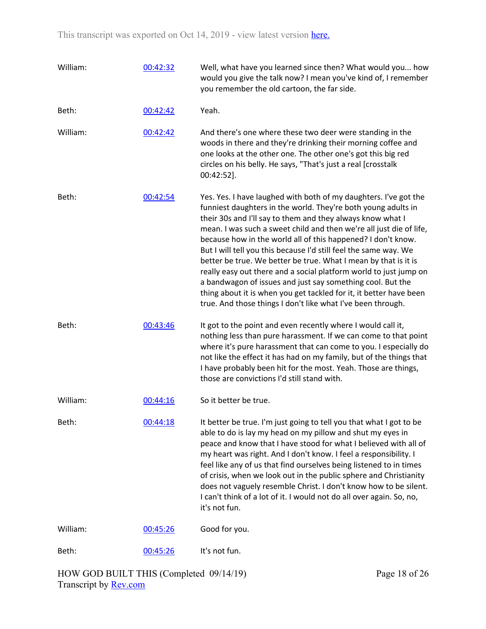| William: | 00:42:32 | Well, what have you learned since then? What would you how<br>would you give the talk now? I mean you've kind of, I remember<br>you remember the old cartoon, the far side.                                                                                                                                                                                                                                                                                                                                                                                                                                                                                                                                                                           |
|----------|----------|-------------------------------------------------------------------------------------------------------------------------------------------------------------------------------------------------------------------------------------------------------------------------------------------------------------------------------------------------------------------------------------------------------------------------------------------------------------------------------------------------------------------------------------------------------------------------------------------------------------------------------------------------------------------------------------------------------------------------------------------------------|
| Beth:    | 00:42:42 | Yeah.                                                                                                                                                                                                                                                                                                                                                                                                                                                                                                                                                                                                                                                                                                                                                 |
| William: | 00:42:42 | And there's one where these two deer were standing in the<br>woods in there and they're drinking their morning coffee and<br>one looks at the other one. The other one's got this big red<br>circles on his belly. He says, "That's just a real [crosstalk<br>00:42:52].                                                                                                                                                                                                                                                                                                                                                                                                                                                                              |
| Beth:    | 00:42:54 | Yes. Yes. I have laughed with both of my daughters. I've got the<br>funniest daughters in the world. They're both young adults in<br>their 30s and I'll say to them and they always know what I<br>mean. I was such a sweet child and then we're all just die of life,<br>because how in the world all of this happened? I don't know.<br>But I will tell you this because I'd still feel the same way. We<br>better be true. We better be true. What I mean by that is it is<br>really easy out there and a social platform world to just jump on<br>a bandwagon of issues and just say something cool. But the<br>thing about it is when you get tackled for it, it better have been<br>true. And those things I don't like what I've been through. |
| Beth:    | 00:43:46 | It got to the point and even recently where I would call it,<br>nothing less than pure harassment. If we can come to that point<br>where it's pure harassment that can come to you. I especially do<br>not like the effect it has had on my family, but of the things that<br>I have probably been hit for the most. Yeah. Those are things,<br>those are convictions I'd still stand with.                                                                                                                                                                                                                                                                                                                                                           |
| William: | 00:44:16 | So it better be true.                                                                                                                                                                                                                                                                                                                                                                                                                                                                                                                                                                                                                                                                                                                                 |
| Beth:    | 00:44:18 | It better be true. I'm just going to tell you that what I got to be<br>able to do is lay my head on my pillow and shut my eyes in<br>peace and know that I have stood for what I believed with all of<br>my heart was right. And I don't know. I feel a responsibility. I<br>feel like any of us that find ourselves being listened to in times<br>of crisis, when we look out in the public sphere and Christianity<br>does not vaguely resemble Christ. I don't know how to be silent.<br>I can't think of a lot of it. I would not do all over again. So, no,<br>it's not fun.                                                                                                                                                                     |
| William: | 00:45:26 | Good for you.                                                                                                                                                                                                                                                                                                                                                                                                                                                                                                                                                                                                                                                                                                                                         |
| Beth:    | 00:45:26 | It's not fun.                                                                                                                                                                                                                                                                                                                                                                                                                                                                                                                                                                                                                                                                                                                                         |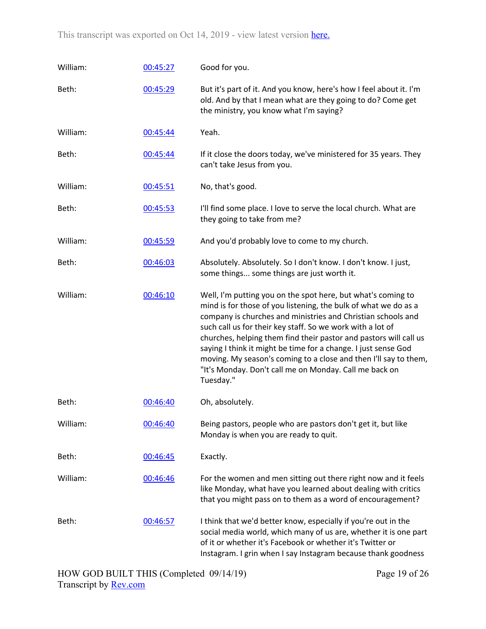| William: | 00:45:27 | Good for you.                                                                                                                                                                                                                                                                                                                                                                                                                                                                                                                                   |
|----------|----------|-------------------------------------------------------------------------------------------------------------------------------------------------------------------------------------------------------------------------------------------------------------------------------------------------------------------------------------------------------------------------------------------------------------------------------------------------------------------------------------------------------------------------------------------------|
| Beth:    | 00:45:29 | But it's part of it. And you know, here's how I feel about it. I'm<br>old. And by that I mean what are they going to do? Come get<br>the ministry, you know what I'm saying?                                                                                                                                                                                                                                                                                                                                                                    |
| William: | 00:45:44 | Yeah.                                                                                                                                                                                                                                                                                                                                                                                                                                                                                                                                           |
| Beth:    | 00:45:44 | If it close the doors today, we've ministered for 35 years. They<br>can't take Jesus from you.                                                                                                                                                                                                                                                                                                                                                                                                                                                  |
| William: | 00:45:51 | No, that's good.                                                                                                                                                                                                                                                                                                                                                                                                                                                                                                                                |
| Beth:    | 00:45:53 | I'll find some place. I love to serve the local church. What are<br>they going to take from me?                                                                                                                                                                                                                                                                                                                                                                                                                                                 |
| William: | 00:45:59 | And you'd probably love to come to my church.                                                                                                                                                                                                                                                                                                                                                                                                                                                                                                   |
| Beth:    | 00:46:03 | Absolutely. Absolutely. So I don't know. I don't know. I just,<br>some things some things are just worth it.                                                                                                                                                                                                                                                                                                                                                                                                                                    |
| William: | 00:46:10 | Well, I'm putting you on the spot here, but what's coming to<br>mind is for those of you listening, the bulk of what we do as a<br>company is churches and ministries and Christian schools and<br>such call us for their key staff. So we work with a lot of<br>churches, helping them find their pastor and pastors will call us<br>saying I think it might be time for a change. I just sense God<br>moving. My season's coming to a close and then I'll say to them,<br>"It's Monday. Don't call me on Monday. Call me back on<br>Tuesday." |
| Beth:    | 00:46:40 | Oh, absolutely.                                                                                                                                                                                                                                                                                                                                                                                                                                                                                                                                 |
| William: | 00:46:40 | Being pastors, people who are pastors don't get it, but like<br>Monday is when you are ready to quit.                                                                                                                                                                                                                                                                                                                                                                                                                                           |
| Beth:    | 00:46:45 | Exactly.                                                                                                                                                                                                                                                                                                                                                                                                                                                                                                                                        |
| William: | 00:46:46 | For the women and men sitting out there right now and it feels<br>like Monday, what have you learned about dealing with critics<br>that you might pass on to them as a word of encouragement?                                                                                                                                                                                                                                                                                                                                                   |
| Beth:    | 00:46:57 | I think that we'd better know, especially if you're out in the<br>social media world, which many of us are, whether it is one part<br>of it or whether it's Facebook or whether it's Twitter or<br>Instagram. I grin when I say Instagram because thank goodness                                                                                                                                                                                                                                                                                |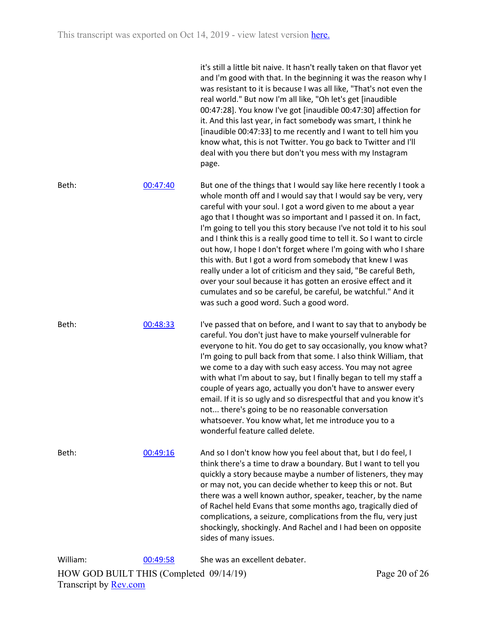it's still a little bit naive. It hasn't really taken on that flavor yet and I'm good with that. In the beginning it was the reason why I was resistant to it is because I was all like, "That's not even the real world." But now I'm all like, "Oh let's get [inaudible 00:47:28]. You know I've got [inaudible 00:47:30] affection for it. And this last year, in fact somebody was smart, I think he [inaudible 00:47:33] to me recently and I want to tell him you know what, this is not Twitter. You go back to Twitter and I'll deal with you there but don't you mess with my Instagram page.

Beth: 00:47:40 But one of the things that I would say like here recently I took a whole month off and I would say that I would say be very, very careful with your soul. I got a word given to me about a year ago that I thought was so important and I passed it on. In fact, I'm going to tell you this story because I've not told it to his soul and I think this is a really good time to tell it. So I want to circle out how, I hope I don't forget where I'm going with who I share this with. But I got a word from somebody that knew I was really under a lot of criticism and they said, "Be careful Beth, over your soul because it has gotten an erosive effect and it cumulates and so be careful, be careful, be watchful." And it was such a good word. Such a good word.

Beth: 00:48:33 I've passed that on before, and I want to say that to anybody be careful. You don't just have to make yourself vulnerable for everyone to hit. You do get to say occasionally, you know what? I'm going to pull back from that some. I also think William, that we come to a day with such easy access. You may not agree with what I'm about to say, but I finally began to tell my staff a couple of years ago, actually you don't have to answer every email. If it is so ugly and so disrespectful that and you know it's not... there's going to be no reasonable conversation whatsoever. You know what, let me introduce you to a wonderful feature called delete.

Beth: 00:49:16 And so I don't know how you feel about that, but I do feel, I think there's a time to draw a boundary. But I want to tell you quickly a story because maybe a number of listeners, they may or may not, you can decide whether to keep this or not. But there was a well known author, speaker, teacher, by the name of Rachel held Evans that some months ago, tragically died of complications, a seizure, complications from the flu, very just shockingly, shockingly. And Rachel and I had been on opposite sides of many issues.

HOW GOD BUILT THIS (Completed 09/14/19) Transcript by **Rev.com** William: 00:49:58 She was an excellent debater.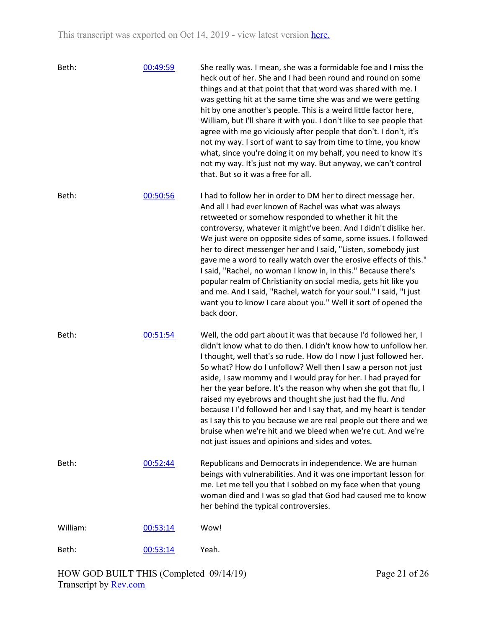| Beth:    | 00:49:59 | She really was. I mean, she was a formidable foe and I miss the<br>heck out of her. She and I had been round and round on some<br>things and at that point that that word was shared with me. I<br>was getting hit at the same time she was and we were getting<br>hit by one another's people. This is a weird little factor here,<br>William, but I'll share it with you. I don't like to see people that<br>agree with me go viciously after people that don't. I don't, it's<br>not my way. I sort of want to say from time to time, you know<br>what, since you're doing it on my behalf, you need to know it's<br>not my way. It's just not my way. But anyway, we can't control<br>that. But so it was a free for all.                              |
|----------|----------|------------------------------------------------------------------------------------------------------------------------------------------------------------------------------------------------------------------------------------------------------------------------------------------------------------------------------------------------------------------------------------------------------------------------------------------------------------------------------------------------------------------------------------------------------------------------------------------------------------------------------------------------------------------------------------------------------------------------------------------------------------|
| Beth:    | 00:50:56 | I had to follow her in order to DM her to direct message her.<br>And all I had ever known of Rachel was what was always<br>retweeted or somehow responded to whether it hit the<br>controversy, whatever it might've been. And I didn't dislike her.<br>We just were on opposite sides of some, some issues. I followed<br>her to direct messenger her and I said, "Listen, somebody just<br>gave me a word to really watch over the erosive effects of this."<br>I said, "Rachel, no woman I know in, in this." Because there's<br>popular realm of Christianity on social media, gets hit like you<br>and me. And I said, "Rachel, watch for your soul." I said, "I just<br>want you to know I care about you." Well it sort of opened the<br>back door. |
| Beth:    | 00:51:54 | Well, the odd part about it was that because I'd followed her, I<br>didn't know what to do then. I didn't know how to unfollow her.<br>I thought, well that's so rude. How do I now I just followed her.<br>So what? How do I unfollow? Well then I saw a person not just<br>aside, I saw mommy and I would pray for her. I had prayed for<br>her the year before. It's the reason why when she got that flu, I<br>raised my eyebrows and thought she just had the flu. And<br>because I I'd followed her and I say that, and my heart is tender<br>as I say this to you because we are real people out there and we<br>bruise when we're hit and we bleed when we're cut. And we're<br>not just issues and opinions and sides and votes.                  |
| Beth:    | 00:52:44 | Republicans and Democrats in independence. We are human<br>beings with vulnerabilities. And it was one important lesson for<br>me. Let me tell you that I sobbed on my face when that young<br>woman died and I was so glad that God had caused me to know<br>her behind the typical controversies.                                                                                                                                                                                                                                                                                                                                                                                                                                                        |
| William: | 00:53:14 | Wow!                                                                                                                                                                                                                                                                                                                                                                                                                                                                                                                                                                                                                                                                                                                                                       |
| Beth:    | 00:53:14 | Yeah.                                                                                                                                                                                                                                                                                                                                                                                                                                                                                                                                                                                                                                                                                                                                                      |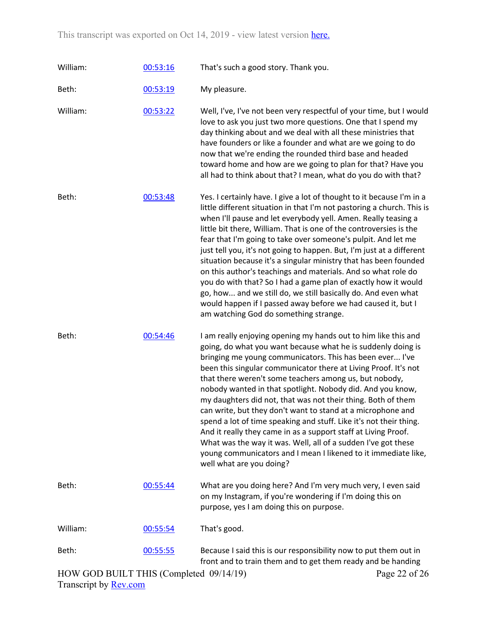| William: | 00:53:16 | That's such a good story. Thank you.                                                                                                                                                                                                                                                                                                                                                                                                                                                                                                                                                                                                                                                                                                                                                                                        |
|----------|----------|-----------------------------------------------------------------------------------------------------------------------------------------------------------------------------------------------------------------------------------------------------------------------------------------------------------------------------------------------------------------------------------------------------------------------------------------------------------------------------------------------------------------------------------------------------------------------------------------------------------------------------------------------------------------------------------------------------------------------------------------------------------------------------------------------------------------------------|
| Beth:    | 00:53:19 | My pleasure.                                                                                                                                                                                                                                                                                                                                                                                                                                                                                                                                                                                                                                                                                                                                                                                                                |
| William: | 00:53:22 | Well, I've, I've not been very respectful of your time, but I would<br>love to ask you just two more questions. One that I spend my<br>day thinking about and we deal with all these ministries that<br>have founders or like a founder and what are we going to do<br>now that we're ending the rounded third base and headed<br>toward home and how are we going to plan for that? Have you<br>all had to think about that? I mean, what do you do with that?                                                                                                                                                                                                                                                                                                                                                             |
| Beth:    | 00:53:48 | Yes. I certainly have. I give a lot of thought to it because I'm in a<br>little different situation in that I'm not pastoring a church. This is<br>when I'll pause and let everybody yell. Amen. Really teasing a<br>little bit there, William. That is one of the controversies is the<br>fear that I'm going to take over someone's pulpit. And let me<br>just tell you, it's not going to happen. But, I'm just at a different<br>situation because it's a singular ministry that has been founded<br>on this author's teachings and materials. And so what role do<br>you do with that? So I had a game plan of exactly how it would<br>go, how and we still do, we still basically do. And even what<br>would happen if I passed away before we had caused it, but I<br>am watching God do something strange.          |
| Beth:    | 00:54:46 | I am really enjoying opening my hands out to him like this and<br>going, do what you want because what he is suddenly doing is<br>bringing me young communicators. This has been ever I've<br>been this singular communicator there at Living Proof. It's not<br>that there weren't some teachers among us, but nobody,<br>nobody wanted in that spotlight. Nobody did. And you know,<br>my daughters did not, that was not their thing. Both of them<br>can write, but they don't want to stand at a microphone and<br>spend a lot of time speaking and stuff. Like it's not their thing.<br>And it really they came in as a support staff at Living Proof.<br>What was the way it was. Well, all of a sudden I've got these<br>young communicators and I mean I likened to it immediate like,<br>well what are you doing? |
| Beth:    | 00:55:44 | What are you doing here? And I'm very much very, I even said<br>on my Instagram, if you're wondering if I'm doing this on<br>purpose, yes I am doing this on purpose.                                                                                                                                                                                                                                                                                                                                                                                                                                                                                                                                                                                                                                                       |
| William: | 00:55:54 | That's good.                                                                                                                                                                                                                                                                                                                                                                                                                                                                                                                                                                                                                                                                                                                                                                                                                |
| Beth:    | 00:55:55 | Because I said this is our responsibility now to put them out in<br>front and to train them and to get them ready and be handing                                                                                                                                                                                                                                                                                                                                                                                                                                                                                                                                                                                                                                                                                            |

Page 22 of 26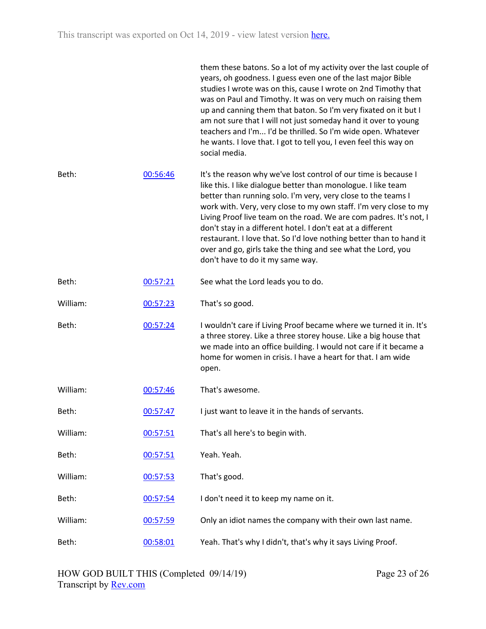|          |          | them these batons. So a lot of my activity over the last couple of<br>years, oh goodness. I guess even one of the last major Bible<br>studies I wrote was on this, cause I wrote on 2nd Timothy that<br>was on Paul and Timothy. It was on very much on raising them<br>up and canning them that baton. So I'm very fixated on it but I<br>am not sure that I will not just someday hand it over to young<br>teachers and I'm I'd be thrilled. So I'm wide open. Whatever<br>he wants. I love that. I got to tell you, I even feel this way on<br>social media.                        |
|----------|----------|----------------------------------------------------------------------------------------------------------------------------------------------------------------------------------------------------------------------------------------------------------------------------------------------------------------------------------------------------------------------------------------------------------------------------------------------------------------------------------------------------------------------------------------------------------------------------------------|
| Beth:    | 00:56:46 | It's the reason why we've lost control of our time is because I<br>like this. I like dialogue better than monologue. I like team<br>better than running solo. I'm very, very close to the teams I<br>work with. Very, very close to my own staff. I'm very close to my<br>Living Proof live team on the road. We are com padres. It's not, I<br>don't stay in a different hotel. I don't eat at a different<br>restaurant. I love that. So I'd love nothing better than to hand it<br>over and go, girls take the thing and see what the Lord, you<br>don't have to do it my same way. |
| Beth:    | 00:57:21 | See what the Lord leads you to do.                                                                                                                                                                                                                                                                                                                                                                                                                                                                                                                                                     |
| William: | 00:57:23 | That's so good.                                                                                                                                                                                                                                                                                                                                                                                                                                                                                                                                                                        |
| Beth:    | 00:57:24 | I wouldn't care if Living Proof became where we turned it in. It's<br>a three storey. Like a three storey house. Like a big house that<br>we made into an office building. I would not care if it became a<br>home for women in crisis. I have a heart for that. I am wide<br>open.                                                                                                                                                                                                                                                                                                    |
| William: | 00:57:46 | That's awesome.                                                                                                                                                                                                                                                                                                                                                                                                                                                                                                                                                                        |
| Beth:    | 00:57:47 | I just want to leave it in the hands of servants.                                                                                                                                                                                                                                                                                                                                                                                                                                                                                                                                      |
| William: | 00:57:51 | That's all here's to begin with.                                                                                                                                                                                                                                                                                                                                                                                                                                                                                                                                                       |
| Beth:    | 00:57:51 | Yeah. Yeah.                                                                                                                                                                                                                                                                                                                                                                                                                                                                                                                                                                            |
| William: | 00:57:53 | That's good.                                                                                                                                                                                                                                                                                                                                                                                                                                                                                                                                                                           |
| Beth:    | 00:57:54 | I don't need it to keep my name on it.                                                                                                                                                                                                                                                                                                                                                                                                                                                                                                                                                 |
| William: | 00:57:59 | Only an idiot names the company with their own last name.                                                                                                                                                                                                                                                                                                                                                                                                                                                                                                                              |
| Beth:    | 00:58:01 | Yeah. That's why I didn't, that's why it says Living Proof.                                                                                                                                                                                                                                                                                                                                                                                                                                                                                                                            |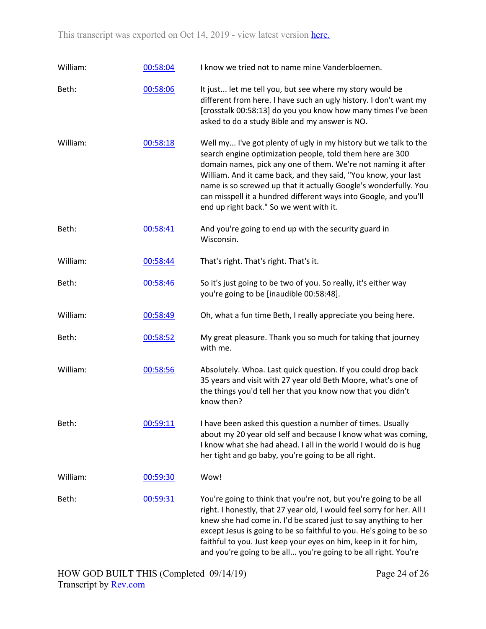| William: | 00:58:04 | I know we tried not to name mine Vanderbloemen.                                                                                                                                                                                                                                                                                                                                                                                                     |
|----------|----------|-----------------------------------------------------------------------------------------------------------------------------------------------------------------------------------------------------------------------------------------------------------------------------------------------------------------------------------------------------------------------------------------------------------------------------------------------------|
| Beth:    | 00:58:06 | It just let me tell you, but see where my story would be<br>different from here. I have such an ugly history. I don't want my<br>[crosstalk 00:58:13] do you you know how many times I've been<br>asked to do a study Bible and my answer is NO.                                                                                                                                                                                                    |
| William: | 00:58:18 | Well my I've got plenty of ugly in my history but we talk to the<br>search engine optimization people, told them here are 300<br>domain names, pick any one of them. We're not naming it after<br>William. And it came back, and they said, "You know, your last<br>name is so screwed up that it actually Google's wonderfully. You<br>can misspell it a hundred different ways into Google, and you'll<br>end up right back." So we went with it. |
| Beth:    | 00:58:41 | And you're going to end up with the security guard in<br>Wisconsin.                                                                                                                                                                                                                                                                                                                                                                                 |
| William: | 00:58:44 | That's right. That's right. That's it.                                                                                                                                                                                                                                                                                                                                                                                                              |
| Beth:    | 00:58:46 | So it's just going to be two of you. So really, it's either way<br>you're going to be [inaudible 00:58:48].                                                                                                                                                                                                                                                                                                                                         |
| William: | 00:58:49 | Oh, what a fun time Beth, I really appreciate you being here.                                                                                                                                                                                                                                                                                                                                                                                       |
| Beth:    | 00:58:52 | My great pleasure. Thank you so much for taking that journey<br>with me.                                                                                                                                                                                                                                                                                                                                                                            |
| William: | 00:58:56 | Absolutely. Whoa. Last quick question. If you could drop back<br>35 years and visit with 27 year old Beth Moore, what's one of<br>the things you'd tell her that you know now that you didn't<br>know then?                                                                                                                                                                                                                                         |
| Beth:    | 00:59:11 | I have been asked this question a number of times. Usually<br>about my 20 year old self and because I know what was coming,<br>I know what she had ahead. I all in the world I would do is hug<br>her tight and go baby, you're going to be all right.                                                                                                                                                                                              |
| William: | 00:59:30 | Wow!                                                                                                                                                                                                                                                                                                                                                                                                                                                |
| Beth:    | 00:59:31 | You're going to think that you're not, but you're going to be all<br>right. I honestly, that 27 year old, I would feel sorry for her. All I<br>knew she had come in. I'd be scared just to say anything to her<br>except Jesus is going to be so faithful to you. He's going to be so<br>faithful to you. Just keep your eyes on him, keep in it for him,<br>and you're going to be all you're going to be all right. You're                        |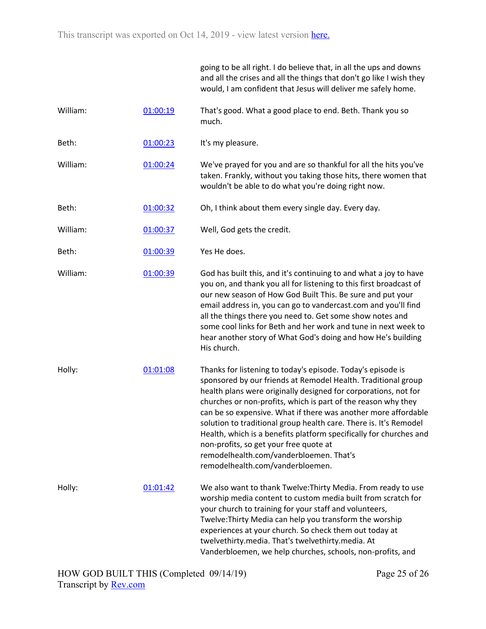|          |          | going to be all right. I do believe that, in all the ups and downs<br>and all the crises and all the things that don't go like I wish they<br>would, I am confident that Jesus will deliver me safely home.                                                                                                                                                                                                                                                                                                                                                                                            |
|----------|----------|--------------------------------------------------------------------------------------------------------------------------------------------------------------------------------------------------------------------------------------------------------------------------------------------------------------------------------------------------------------------------------------------------------------------------------------------------------------------------------------------------------------------------------------------------------------------------------------------------------|
| William: | 01:00:19 | That's good. What a good place to end. Beth. Thank you so<br>much.                                                                                                                                                                                                                                                                                                                                                                                                                                                                                                                                     |
| Beth:    | 01:00:23 | It's my pleasure.                                                                                                                                                                                                                                                                                                                                                                                                                                                                                                                                                                                      |
| William: | 01:00:24 | We've prayed for you and are so thankful for all the hits you've<br>taken. Frankly, without you taking those hits, there women that<br>wouldn't be able to do what you're doing right now.                                                                                                                                                                                                                                                                                                                                                                                                             |
| Beth:    | 01:00:32 | Oh, I think about them every single day. Every day.                                                                                                                                                                                                                                                                                                                                                                                                                                                                                                                                                    |
| William: | 01:00:37 | Well, God gets the credit.                                                                                                                                                                                                                                                                                                                                                                                                                                                                                                                                                                             |
| Beth:    | 01:00:39 | Yes He does.                                                                                                                                                                                                                                                                                                                                                                                                                                                                                                                                                                                           |
| William: | 01:00:39 | God has built this, and it's continuing to and what a joy to have<br>you on, and thank you all for listening to this first broadcast of<br>our new season of How God Built This. Be sure and put your<br>email address in, you can go to vandercast.com and you'll find<br>all the things there you need to. Get some show notes and<br>some cool links for Beth and her work and tune in next week to<br>hear another story of What God's doing and how He's building<br>His church.                                                                                                                  |
| Holly:   | 01:01:08 | Thanks for listening to today's episode. Today's episode is<br>sponsored by our friends at Remodel Health. Traditional group<br>health plans were originally designed for corporations, not for<br>churches or non-profits, which is part of the reason why they<br>can be so expensive. What if there was another more affordable<br>solution to traditional group health care. There is. It's Remodel<br>Health, which is a benefits platform specifically for churches and<br>non-profits, so get your free quote at<br>remodelhealth.com/vanderbloemen. That's<br>remodelhealth.com/vanderbloemen. |
| Holly:   | 01:01:42 | We also want to thank Twelve: Thirty Media. From ready to use<br>worship media content to custom media built from scratch for<br>your church to training for your staff and volunteers,<br>Twelve: Thirty Media can help you transform the worship<br>experiences at your church. So check them out today at<br>twelvethirty.media. That's twelvethirty.media. At<br>Vanderbloemen, we help churches, schools, non-profits, and                                                                                                                                                                        |